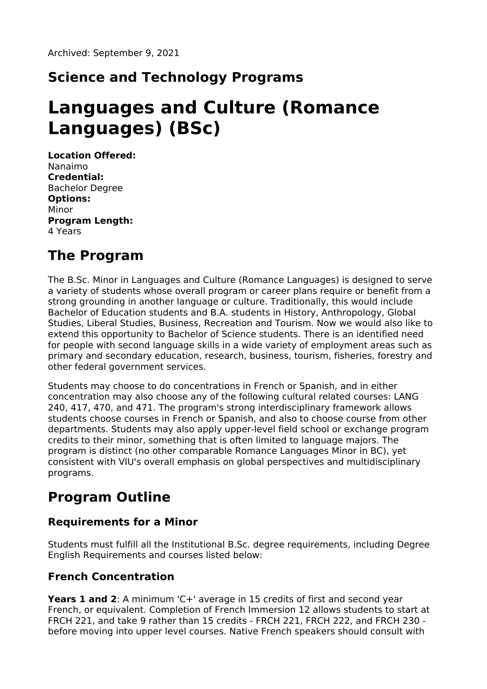## **Science and Technology Programs**

# **Languages and Culture (Romance Languages) (BSc)**

**Location Offered:** Nanaimo **Credential:** Bachelor Degree **Options:** Minor **Program Length:** 4 Years

### **The Program**

The B.Sc. Minor in Languages and Culture (Romance Languages) is designed to serve a variety of students whose overall program or career plans require or benefit from a strong grounding in another language or culture. Traditionally, this would include Bachelor of Education students and B.A. students in History, Anthropology, Global Studies, Liberal Studies, Business, Recreation and Tourism. Now we would also like to extend this opportunity to Bachelor of Science students. There is an identified need for people with second language skills in a wide variety of employment areas such as primary and secondary education, research, business, tourism, fisheries, forestry and other federal government services.

Students may choose to do concentrations in French or Spanish, and in either concentration may also choose any of the following cultural related courses: LANG 240, 417, 470, and 471. The program's strong interdisciplinary framework allows students choose courses in French or Spanish, and also to choose course from other departments. Students may also apply upper-level field school or exchange program credits to their minor, something that is often limited to language majors. The program is distinct (no other comparable Romance Languages Minor in BC), yet consistent with VIU's overall emphasis on global perspectives and multidisciplinary programs.

### **Program Outline**

#### **Requirements for a Minor**

Students must fulfill all the Institutional B.Sc. degree requirements, including Degree English Requirements and courses listed below:

#### **French Concentration**

**Years 1 and 2**: A minimum 'C+' average in 15 credits of first and second year French, or equivalent. Completion of French Immersion 12 allows students to start at FRCH 221, and take 9 rather than 15 credits - FRCH 221, FRCH 222, and FRCH 230 before moving into upper level courses. Native French speakers should consult with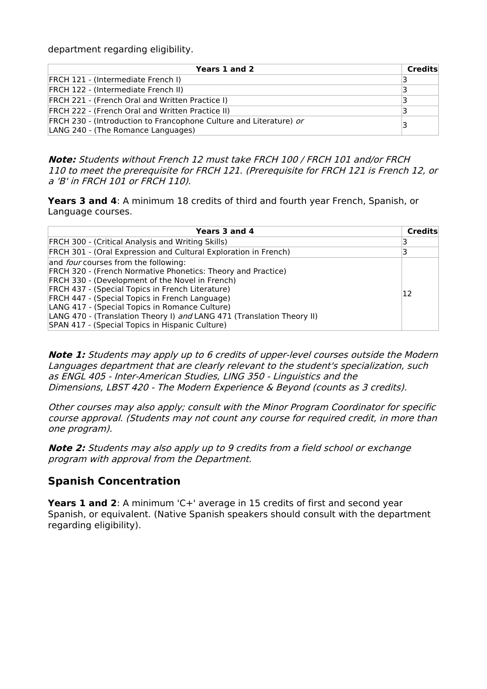department regarding eligibility.

| Years 1 and 2                                                                                            | Credits |
|----------------------------------------------------------------------------------------------------------|---------|
| <b>FRCH 121 - (Intermediate French I)</b>                                                                | В       |
| FRCH 122 - (Intermediate French II)                                                                      | з       |
| <b>FRCH 221 - (French Oral and Written Practice I)</b>                                                   | з       |
| <b>FRCH 222 - (French Oral and Written Practice II)</b>                                                  |         |
| FRCH 230 - (Introduction to Francophone Culture and Literature) or<br>LANG 240 - (The Romance Languages) | 3       |

**Note:** Students without French 12 must take FRCH 100 / FRCH 101 and/or FRCH 110 to meet the prerequisite for FRCH 121. (Prerequisite for FRCH 121 is French 12, or <sup>a</sup> 'B' in FRCH 101 or FRCH 110).

**Years 3 and 4**: A minimum 18 credits of third and fourth year French, Spanish, or Language courses.

| Years 3 and 4                                                                                                                                                                                                                                                                                                                                                                                                                                       | Credits |
|-----------------------------------------------------------------------------------------------------------------------------------------------------------------------------------------------------------------------------------------------------------------------------------------------------------------------------------------------------------------------------------------------------------------------------------------------------|---------|
| <b>FRCH 300 - (Critical Analysis and Writing Skills)</b>                                                                                                                                                                                                                                                                                                                                                                                            |         |
| FRCH 301 - (Oral Expression and Cultural Exploration in French)                                                                                                                                                                                                                                                                                                                                                                                     |         |
| and <i>four</i> courses from the following:<br>FRCH 320 - (French Normative Phonetics: Theory and Practice)<br>FRCH 330 - (Development of the Novel in French)<br>FRCH 437 - (Special Topics in French Literature)<br>FRCH 447 - (Special Topics in French Language)<br>LANG 417 - (Special Topics in Romance Culture)<br>LANG 470 - (Translation Theory I) and LANG 471 (Translation Theory II)<br>SPAN 417 - (Special Topics in Hispanic Culture) | 12      |

**Note 1:** Students may apply up to 6 credits of upper-level courses outside the Modern Languages department that are clearly relevant to the student's specialization, such as ENGL 405 - Inter-American Studies, LING 350 - Linguistics and the Dimensions, LBST 420 - The Modern Experience & Beyond (counts as 3 credits).

Other courses may also apply; consult with the Minor Program Coordinator for specific course approval. (Students may not count any course for required credit, in more than one program).

**Note 2:** Students may also apply up to 9 credits from <sup>a</sup> field school or exchange program with approval from the Department.

#### **Spanish Concentration**

**Years 1 and 2**: A minimum 'C+' average in 15 credits of first and second year Spanish, or equivalent. (Native Spanish speakers should consult with the department regarding eligibility).